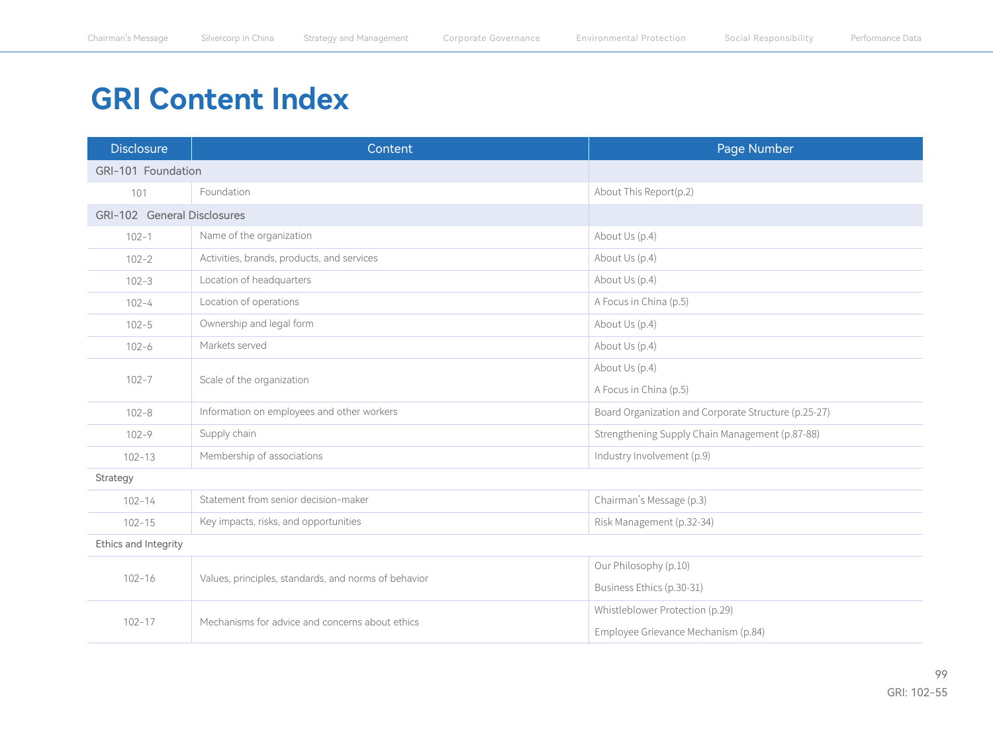## **GRI Content Index**

| <b>Disclosure</b>           | Content                                              | Page Number                                          |  |
|-----------------------------|------------------------------------------------------|------------------------------------------------------|--|
| GRI-101 Foundation          |                                                      |                                                      |  |
| 101                         | Foundation                                           | About This Report(p.2)                               |  |
| GRI-102 General Disclosures |                                                      |                                                      |  |
| $102 - 1$                   | Name of the organization                             | About Us (p.4)                                       |  |
| $102 - 2$                   | Activities, brands, products, and services           | About Us (p.4)                                       |  |
| $102 - 3$                   | Location of headquarters                             | About Us (p.4)                                       |  |
| $102 - 4$                   | Location of operations                               | A Focus in China (p.5)                               |  |
| $102 - 5$                   | Ownership and legal form                             | About Us (p.4)                                       |  |
| $102 - 6$                   | Markets served                                       | About Us (p.4)                                       |  |
|                             | Scale of the organization                            | About Us (p.4)                                       |  |
| $102 - 7$                   |                                                      | A Focus in China (p.5)                               |  |
| $102 - 8$                   | Information on employees and other workers           | Board Organization and Corporate Structure (p.25-27) |  |
| $102 - 9$                   | Supply chain                                         | Strengthening Supply Chain Management (p.87-88)      |  |
| $102 - 13$                  | Membership of associations                           | Industry Involvement (p.9)                           |  |
| Strategy                    |                                                      |                                                      |  |
| $102 - 14$                  | Statement from senior decision-maker                 | Chairman's Message (p.3)                             |  |
| $102 - 15$                  | Key impacts, risks, and opportunities                | Risk Management (p.32-34)                            |  |
| Ethics and Integrity        |                                                      |                                                      |  |
| $102 - 16$                  | Values, principles, standards, and norms of behavior | Our Philosophy (p.10)                                |  |
|                             |                                                      | Business Ethics (p.30-31)                            |  |
|                             | Mechanisms for advice and concerns about ethics      | Whistleblower Protection (p.29)                      |  |
| $102 - 17$                  |                                                      | Employee Grievance Mechanism (p.84)                  |  |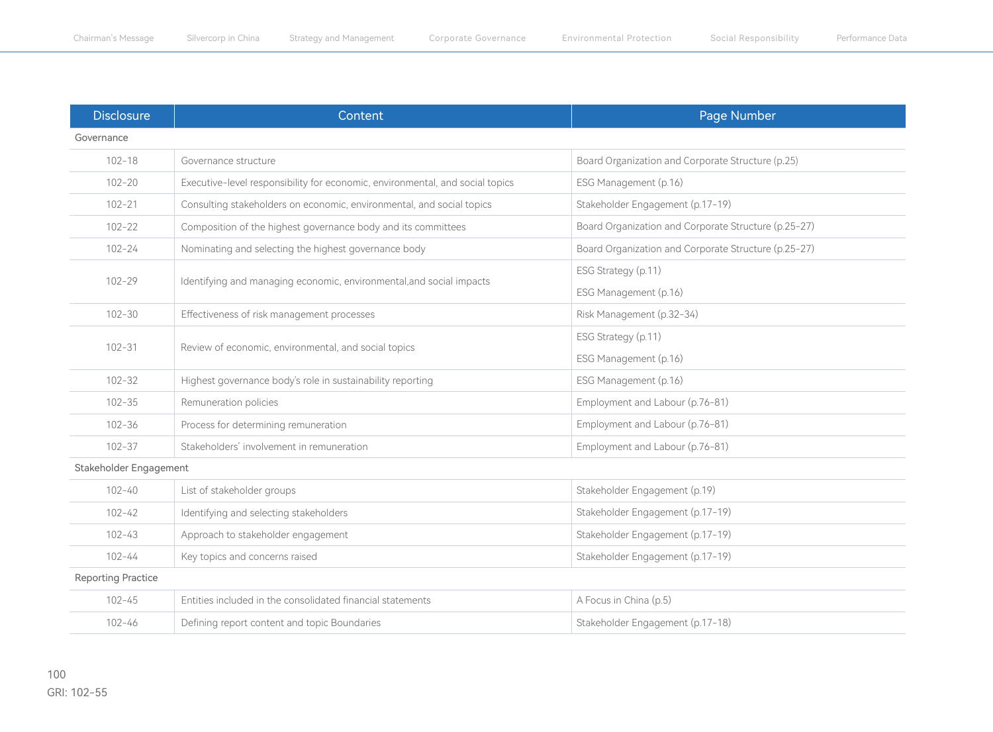| <b>Disclosure</b>         | Content                                                                       | Page Number                                          |  |
|---------------------------|-------------------------------------------------------------------------------|------------------------------------------------------|--|
| Governance                |                                                                               |                                                      |  |
| $102 - 18$                | Governance structure                                                          | Board Organization and Corporate Structure (p.25)    |  |
| $102 - 20$                | Executive-level responsibility for economic, environmental, and social topics | ESG Management (p.16)                                |  |
| $102 - 21$                | Consulting stakeholders on economic, environmental, and social topics         | Stakeholder Engagement (p.17-19)                     |  |
| $102 - 22$                | Composition of the highest governance body and its committees                 | Board Organization and Corporate Structure (p.25-27) |  |
| $102 - 24$                | Nominating and selecting the highest governance body                          | Board Organization and Corporate Structure (p.25-27) |  |
|                           |                                                                               | ESG Strategy (p.11)                                  |  |
| $102 - 29$                | Identifying and managing economic, environmental, and social impacts          | ESG Management (p.16)                                |  |
| $102 - 30$                | Effectiveness of risk management processes                                    | Risk Management (p.32-34)                            |  |
|                           | Review of economic, environmental, and social topics                          | ESG Strategy (p.11)                                  |  |
| $102 - 31$                |                                                                               | ESG Management (p.16)                                |  |
| $102 - 32$                | Highest governance body's role in sustainability reporting                    | ESG Management (p.16)                                |  |
| $102 - 35$                | Remuneration policies                                                         | Employment and Labour (p.76-81)                      |  |
| $102 - 36$                | Process for determining remuneration                                          | Employment and Labour (p.76-81)                      |  |
| $102 - 37$                | Stakeholders' involvement in remuneration                                     | Employment and Labour (p.76-81)                      |  |
| Stakeholder Engagement    |                                                                               |                                                      |  |
| $102 - 40$                | List of stakeholder groups                                                    | Stakeholder Engagement (p.19)                        |  |
| $102 - 42$                | Identifying and selecting stakeholders                                        | Stakeholder Engagement (p.17-19)                     |  |
| $102 - 43$                | Approach to stakeholder engagement                                            | Stakeholder Engagement (p.17-19)                     |  |
| $102 - 44$                | Key topics and concerns raised                                                | Stakeholder Engagement (p.17-19)                     |  |
| <b>Reporting Practice</b> |                                                                               |                                                      |  |
| $102 - 45$                | Entities included in the consolidated financial statements                    | A Focus in China (p.5)                               |  |
| $102 - 46$                | Defining report content and topic Boundaries                                  | Stakeholder Engagement (p.17-18)                     |  |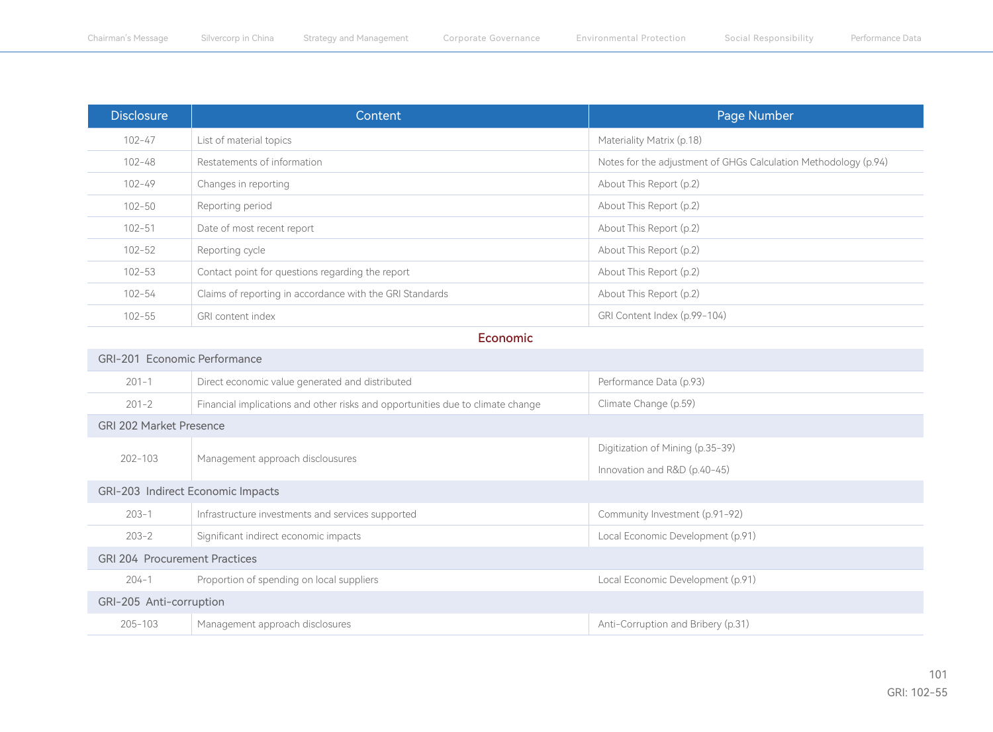| <b>Disclosure</b> | Content                                                  | Page Number                                                     |
|-------------------|----------------------------------------------------------|-----------------------------------------------------------------|
| $102 - 47$        | List of material topics                                  | Materiality Matrix (p.18)                                       |
| $102 - 48$        | Restatements of information                              | Notes for the adjustment of GHGs Calculation Methodology (p.94) |
| $102 - 49$        | Changes in reporting                                     | About This Report (p.2)                                         |
| $102 - 50$        | Reporting period                                         | About This Report (p.2)                                         |
| $102 - 51$        | Date of most recent report                               | About This Report (p.2)                                         |
| $102 - 52$        | Reporting cycle                                          | About This Report (p.2)                                         |
| $102 - 53$        | Contact point for questions regarding the report         | About This Report (p.2)                                         |
| $102 - 54$        | Claims of reporting in accordance with the GRI Standards | About This Report (p.2)                                         |
| $102 - 55$        | GRI content index                                        | GRI Content Index (p.99-104)                                    |

Economic

| GRI-201 Economic Performance         |                                                                                |                                    |  |
|--------------------------------------|--------------------------------------------------------------------------------|------------------------------------|--|
| $201 - 1$                            | Direct economic value generated and distributed                                | Performance Data (p.93)            |  |
| $201 - 2$                            | Financial implications and other risks and opportunities due to climate change | Climate Change (p.59)              |  |
| <b>GRI 202 Market Presence</b>       |                                                                                |                                    |  |
| $202 - 103$                          | Management approach disclousures                                               | Digitization of Mining (p.35-39)   |  |
|                                      |                                                                                | Innovation and R&D (p.40-45)       |  |
| GRI-203 Indirect Economic Impacts    |                                                                                |                                    |  |
| $203 - 1$                            | Infrastructure investments and services supported                              | Community Investment (p.91-92)     |  |
| $203 - 2$                            | Significant indirect economic impacts                                          | Local Economic Development (p.91)  |  |
| <b>GRI 204 Procurement Practices</b> |                                                                                |                                    |  |
| $204 - 1$                            | Proportion of spending on local suppliers                                      | Local Economic Development (p.91)  |  |
| GRI-205 Anti-corruption              |                                                                                |                                    |  |
| $205 - 103$                          | Management approach disclosures                                                | Anti-Corruption and Bribery (p.31) |  |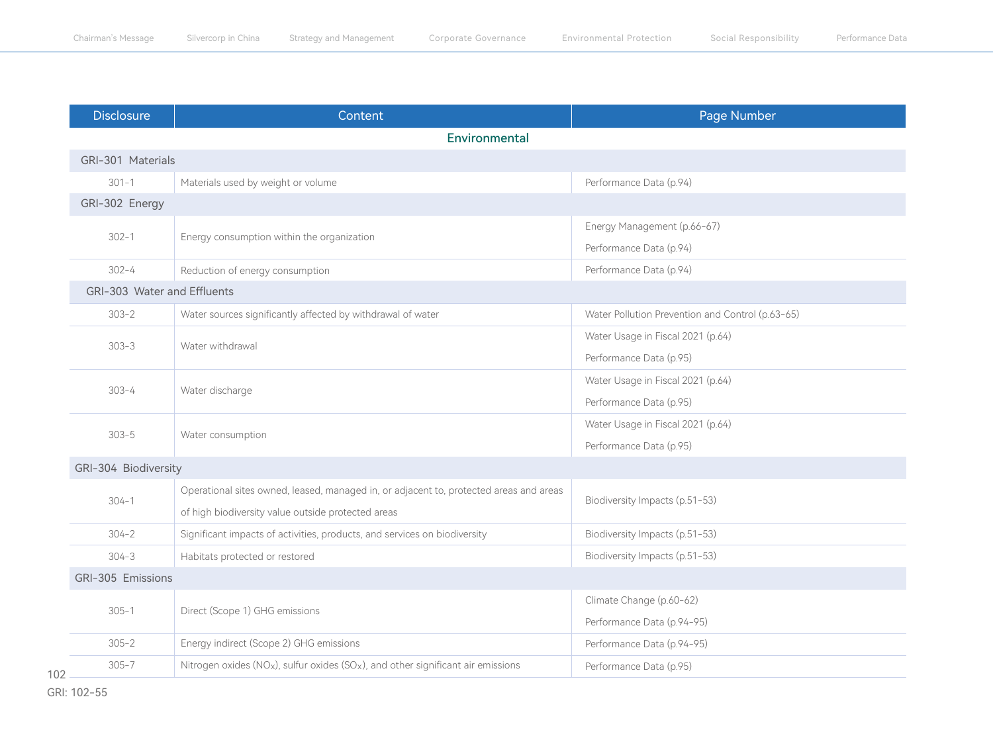| <b>Disclosure</b>           | Content                                                                                 | Page Number                                      |  |
|-----------------------------|-----------------------------------------------------------------------------------------|--------------------------------------------------|--|
|                             | Environmental                                                                           |                                                  |  |
| GRI-301 Materials           |                                                                                         |                                                  |  |
| $301 - 1$                   | Materials used by weight or volume                                                      | Performance Data (p.94)                          |  |
| GRI-302 Energy              |                                                                                         |                                                  |  |
| $302 - 1$                   | Energy consumption within the organization                                              | Energy Management (p.66-67)                      |  |
|                             |                                                                                         | Performance Data (p.94)                          |  |
| $302 - 4$                   | Reduction of energy consumption                                                         | Performance Data (p.94)                          |  |
| GRI-303 Water and Effluents |                                                                                         |                                                  |  |
| $303 - 2$                   | Water sources significantly affected by withdrawal of water                             | Water Pollution Prevention and Control (p.63-65) |  |
| $303 - 3$                   | Water withdrawal                                                                        | Water Usage in Fiscal 2021 (p.64)                |  |
|                             |                                                                                         | Performance Data (p.95)                          |  |
| $303 - 4$                   | Water discharge                                                                         | Water Usage in Fiscal 2021 (p.64)                |  |
|                             |                                                                                         | Performance Data (p.95)                          |  |
| $303 - 5$                   | Water consumption                                                                       | Water Usage in Fiscal 2021 (p.64)                |  |
|                             |                                                                                         | Performance Data (p.95)                          |  |
| GRI-304 Biodiversity        |                                                                                         |                                                  |  |
| $304 - 1$                   | Operational sites owned, leased, managed in, or adjacent to, protected areas and areas  | Biodiversity Impacts (p.51-53)                   |  |
|                             | of high biodiversity value outside protected areas                                      |                                                  |  |
| $304 - 2$                   | Significant impacts of activities, products, and services on biodiversity               | Biodiversity Impacts (p.51-53)                   |  |
| $304 - 3$                   | Habitats protected or restored                                                          | Biodiversity Impacts (p.51-53)                   |  |
| GRI-305 Emissions           |                                                                                         |                                                  |  |
| $305 - 1$                   | Direct (Scope 1) GHG emissions                                                          | Climate Change (p.60-62)                         |  |
|                             |                                                                                         | Performance Data (p.94-95)                       |  |
| $305 - 2$                   | Energy indirect (Scope 2) GHG emissions                                                 | Performance Data (p.94-95)                       |  |
| $305 - 7$                   | Nitrogen oxides ( $NOx$ ), sulfur oxides ( $SOx$ ), and other significant air emissions | Performance Data (p.95)                          |  |
|                             |                                                                                         |                                                  |  |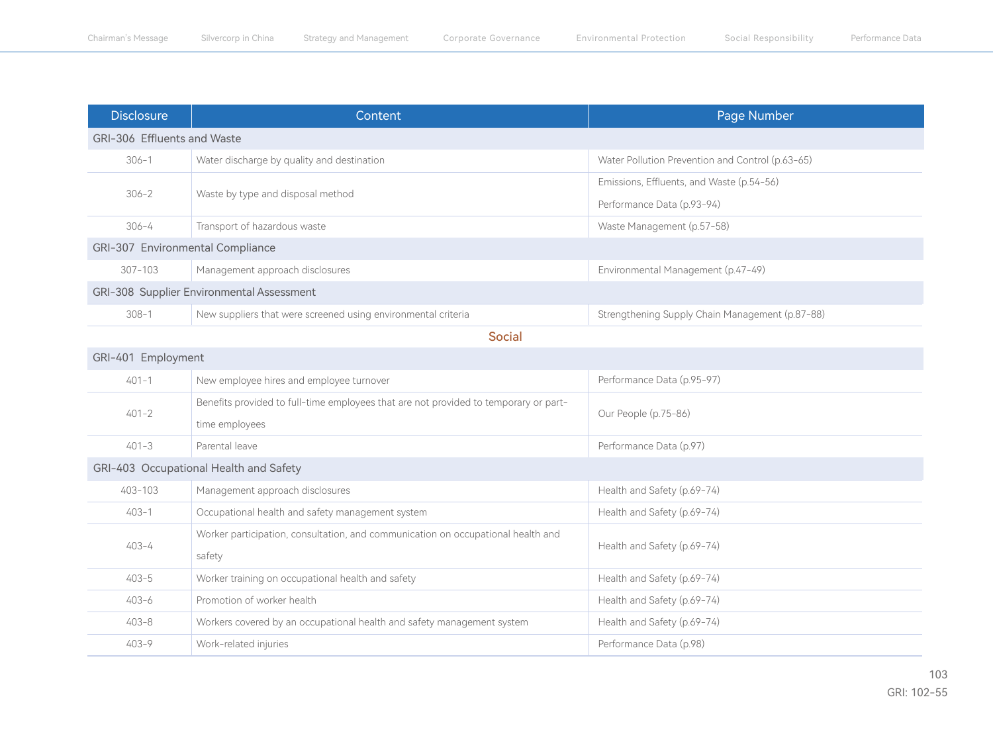| <b>Disclosure</b>                         | Content                                                       | Page Number                                      |  |
|-------------------------------------------|---------------------------------------------------------------|--------------------------------------------------|--|
| GRI-306 Effluents and Waste               |                                                               |                                                  |  |
| $306 - 1$                                 | Water discharge by quality and destination                    | Water Pollution Prevention and Control (p.63-65) |  |
| $306 - 2$                                 | Waste by type and disposal method                             | Emissions, Effluents, and Waste (p.54-56)        |  |
|                                           |                                                               | Performance Data (p.93-94)                       |  |
| $306 - 4$                                 | Transport of hazardous waste                                  | Waste Management (p.57-58)                       |  |
| GRI-307 Environmental Compliance          |                                                               |                                                  |  |
| $307 - 103$                               | Management approach disclosures                               | Environmental Management (p.47-49)               |  |
| GRI-308 Supplier Environmental Assessment |                                                               |                                                  |  |
| $308 - 1$                                 | New suppliers that were screened using environmental criteria | Strengthening Supply Chain Management (p.87-88)  |  |
| <b>Social</b>                             |                                                               |                                                  |  |
| GRI-401 Employment                        |                                                               |                                                  |  |

| UN TUI LIIPIUVIIIUIL                   |                                                                                                        |                             |  |
|----------------------------------------|--------------------------------------------------------------------------------------------------------|-----------------------------|--|
| $401 - 1$                              | New employee hires and employee turnover                                                               | Performance Data (p.95-97)  |  |
| $401 - 2$                              | Benefits provided to full-time employees that are not provided to temporary or part-<br>time employees | Our People (p.75-86)        |  |
| $401 - 3$                              | Parental leave                                                                                         | Performance Data (p.97)     |  |
| GRI-403 Occupational Health and Safety |                                                                                                        |                             |  |
| 403-103                                | Management approach disclosures                                                                        | Health and Safety (p.69-74) |  |
| $403 - 1$                              | Occupational health and safety management system                                                       | Health and Safety (p.69-74) |  |
| $403 - 4$                              | Worker participation, consultation, and communication on occupational health and<br>safety             | Health and Safety (p.69-74) |  |
| $403 - 5$                              | Worker training on occupational health and safety                                                      | Health and Safety (p.69-74) |  |
| $403 - 6$                              | Promotion of worker health                                                                             | Health and Safety (p.69-74) |  |
| $403 - 8$                              | Workers covered by an occupational health and safety management system                                 | Health and Safety (p.69-74) |  |
| $403 - 9$                              | Work-related injuries                                                                                  | Performance Data (p.98)     |  |